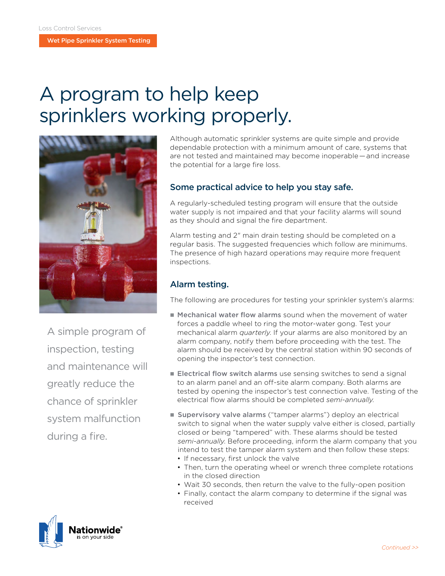Wet Pipe Sprinkler System Testing

# A program to help keep sprinklers working properly.



A simple program of inspection, testing and maintenance will greatly reduce the chance of sprinkler system malfunction during a fire.

Although automatic sprinkler systems are quite simple and provide dependable protection with a minimum amount of care, systems that are not tested and maintained may become inoperable — and increase the potential for a large fire loss.

## Some practical advice to help you stay safe.

A regularly-scheduled testing program will ensure that the outside water supply is not impaired and that your facility alarms will sound as they should and signal the fire department.

Alarm testing and 2" main drain testing should be completed on a regular basis. The suggested frequencies which follow are minimums. The presence of high hazard operations may require more frequent inspections.

## Alarm testing.

The following are procedures for testing your sprinkler system's alarms:

- **n** Mechanical water flow alarms sound when the movement of water forces a paddle wheel to ring the motor-water gong. Test your mechanical alarm *quarterly*. If your alarms are also monitored by an alarm company, notify them before proceeding with the test. The alarm should be received by the central station within 90 seconds of opening the inspector's test connection.
- $\blacksquare$  Electrical flow switch alarms use sensing switches to send a signal to an alarm panel and an off-site alarm company. Both alarms are tested by opening the inspector's test connection valve. Testing of the electrical flow alarms should be completed *semi-annually.*
- **supervisory valve alarms** ("tamper alarms") deploy an electrical switch to signal when the water supply valve either is closed, partially closed or being "tampered" with. These alarms should be tested *semi-annually*. Before proceeding, inform the alarm company that you intend to test the tamper alarm system and then follow these steps:
	- If necessary, first unlock the valve
	- Then, turn the operating wheel or wrench three complete rotations in the closed direction
	- Wait 30 seconds, then return the valve to the fully-open position
	- Finally, contact the alarm company to determine if the signal was received